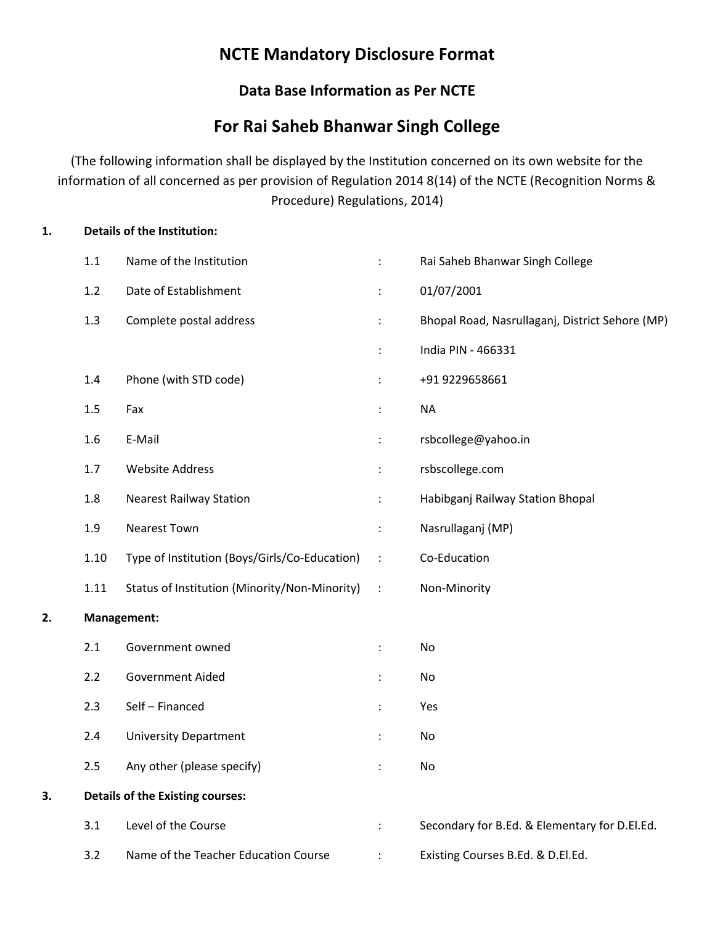# NCTE Mandatory Disclosure Format

### Data Base Information as Per NCTE

## For Rai Saheb Bhanwar Singh College

(The following information shall be displayed by the Institution concerned on its own website for the information of all concerned as per provision of Regulation 2014 8(14) of the NCTE (Recognition Norms & Procedure) Regulations, 2014)

### 1. Details of the Institution:

|    | $1.1\,$ | Name of the Institution                       | ÷                    | Rai Saheb Bhanwar Singh College                 |
|----|---------|-----------------------------------------------|----------------------|-------------------------------------------------|
|    | 1.2     | Date of Establishment                         | $\ddot{\phantom{a}}$ | 01/07/2001                                      |
|    | 1.3     | Complete postal address                       | ÷                    | Bhopal Road, Nasrullaganj, District Sehore (MP) |
|    |         |                                               | $\ddot{\phantom{a}}$ | India PIN - 466331                              |
|    | 1.4     | Phone (with STD code)                         | $\ddot{\phantom{a}}$ | +91 9229658661                                  |
|    | 1.5     | Fax                                           | $\ddot{\phantom{a}}$ | <b>NA</b>                                       |
|    | 1.6     | E-Mail                                        | $\ddot{\phantom{a}}$ | rsbcollege@yahoo.in                             |
|    | 1.7     | <b>Website Address</b>                        | ÷                    | rsbscollege.com                                 |
|    | 1.8     | <b>Nearest Railway Station</b>                | ÷                    | Habibganj Railway Station Bhopal                |
|    | 1.9     | <b>Nearest Town</b>                           | ÷                    | Nasrullaganj (MP)                               |
|    | 1.10    | Type of Institution (Boys/Girls/Co-Education) | $\cdot$ :            | Co-Education                                    |
|    | 1.11    | Status of Institution (Minority/Non-Minority) | $\sim$ 1.            | Non-Minority                                    |
| 2. |         | Management:                                   |                      |                                                 |
|    | 2.1     | Government owned                              | ÷                    | No                                              |
|    | 2.2     | Government Aided                              | $\ddot{\cdot}$       | No                                              |
|    | 2.3     | Self - Financed                               | $\ddot{\cdot}$       | Yes                                             |
|    | 2.4     | <b>University Department</b>                  |                      | No                                              |
|    | 2.5     | Any other (please specify)                    | $\ddot{\cdot}$       | No                                              |
| 3. |         | <b>Details of the Existing courses:</b>       |                      |                                                 |
|    | 3.1     | Level of the Course                           |                      | Secondary for B.Ed. & Elementary for D.El.Ed.   |
|    | 3.2     | Name of the Teacher Education Course          |                      | Existing Courses B.Ed. & D.El.Ed.               |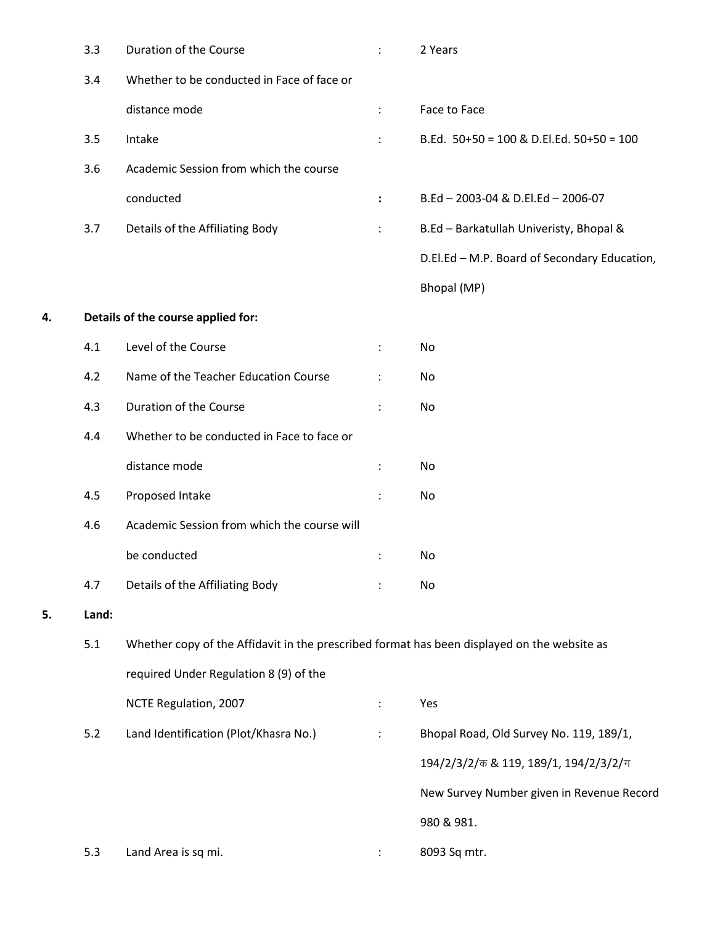|    | 3.3   | Duration of the Course                                                                      | $\ddot{\phantom{a}}$ | 2 Years                                      |
|----|-------|---------------------------------------------------------------------------------------------|----------------------|----------------------------------------------|
|    | 3.4   | Whether to be conducted in Face of face or                                                  |                      |                                              |
|    |       | distance mode                                                                               | $\ddot{\cdot}$       | Face to Face                                 |
|    | 3.5   | Intake                                                                                      | $\ddot{\phantom{a}}$ | B.Ed. $50+50 = 100$ & D.El.Ed. $50+50 = 100$ |
|    | 3.6   | Academic Session from which the course                                                      |                      |                                              |
|    |       | conducted                                                                                   | $\ddot{\phantom{a}}$ | B.Ed - 2003-04 & D.El.Ed - 2006-07           |
|    | 3.7   | Details of the Affiliating Body                                                             | ÷                    | B.Ed - Barkatullah Univeristy, Bhopal &      |
|    |       |                                                                                             |                      | D.El.Ed - M.P. Board of Secondary Education, |
|    |       |                                                                                             |                      | Bhopal (MP)                                  |
| 4. |       | Details of the course applied for:                                                          |                      |                                              |
|    | 4.1   | Level of the Course                                                                         | $\ddot{\phantom{a}}$ | No                                           |
|    | 4.2   | Name of the Teacher Education Course                                                        | $\ddot{\phantom{a}}$ | No                                           |
|    | 4.3   | Duration of the Course                                                                      | $\ddot{\cdot}$       | No                                           |
|    | 4.4   | Whether to be conducted in Face to face or                                                  |                      |                                              |
|    |       | distance mode                                                                               | ÷                    | No                                           |
|    | 4.5   | Proposed Intake                                                                             | ÷                    | No                                           |
|    | 4.6   | Academic Session from which the course will                                                 |                      |                                              |
|    |       | be conducted                                                                                |                      | No                                           |
|    | 4.7   | Details of the Affiliating Body                                                             | $\ddot{\phantom{0}}$ | No                                           |
| 5. | Land: |                                                                                             |                      |                                              |
|    | 5.1   | Whether copy of the Affidavit in the prescribed format has been displayed on the website as |                      |                                              |
|    |       | required Under Regulation 8 (9) of the                                                      |                      |                                              |
|    |       | NCTE Regulation, 2007                                                                       | $\ddot{\phantom{a}}$ | Yes                                          |
|    | 5.2   | Land Identification (Plot/Khasra No.)                                                       | $\ddot{\phantom{a}}$ | Bhopal Road, Old Survey No. 119, 189/1,      |
|    |       |                                                                                             |                      | 194/2/3/2/ 5 & 119, 189/1, 194/2/3/2/ $\pi$  |
|    |       |                                                                                             |                      | New Survey Number given in Revenue Record    |
|    |       |                                                                                             |                      | 980 & 981.                                   |
|    | 5.3   | Land Area is sq mi.                                                                         |                      | 8093 Sq mtr.                                 |

5. Land: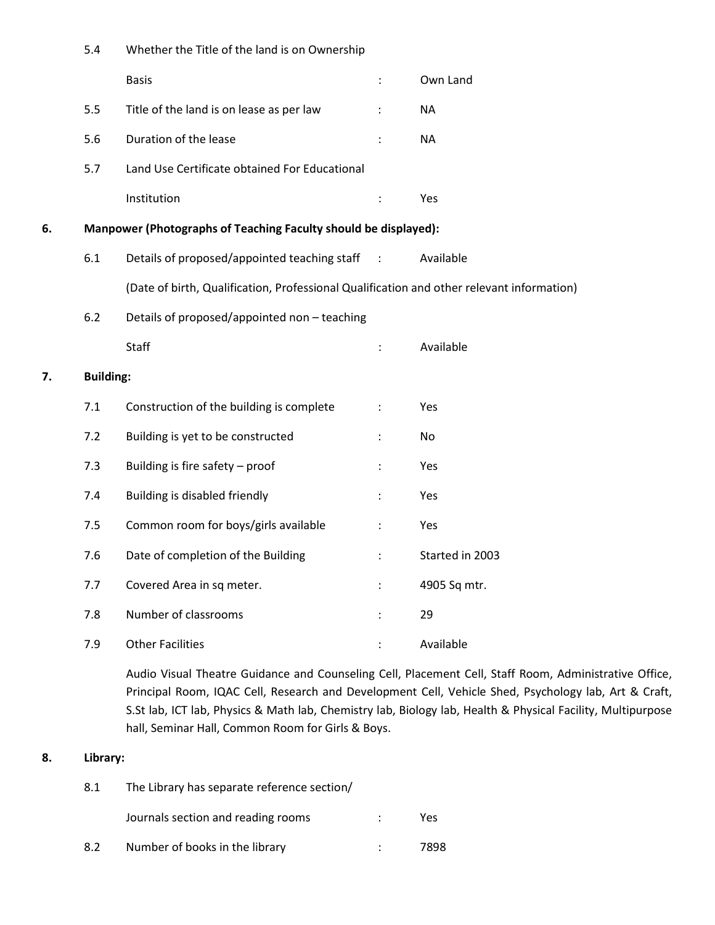|    | 5.4              | Whether the Title of the land is on Ownership                                             |                      |                 |
|----|------------------|-------------------------------------------------------------------------------------------|----------------------|-----------------|
|    |                  | <b>Basis</b>                                                                              | $\ddot{\cdot}$       | Own Land        |
|    | 5.5              | Title of the land is on lease as per law                                                  |                      | <b>NA</b>       |
|    | 5.6              | Duration of the lease                                                                     |                      | <b>NA</b>       |
|    | 5.7              | Land Use Certificate obtained For Educational                                             |                      |                 |
|    |                  | Institution                                                                               | ÷                    | Yes             |
| 6. |                  | Manpower (Photographs of Teaching Faculty should be displayed):                           |                      |                 |
|    | 6.1              | Details of proposed/appointed teaching staff :                                            |                      | Available       |
|    |                  | (Date of birth, Qualification, Professional Qualification and other relevant information) |                      |                 |
|    | 6.2              | Details of proposed/appointed non - teaching                                              |                      |                 |
|    |                  | Staff                                                                                     |                      | Available       |
| 7. | <b>Building:</b> |                                                                                           |                      |                 |
|    | 7.1              | Construction of the building is complete                                                  |                      | Yes             |
|    | 7.2              | Building is yet to be constructed                                                         |                      | No              |
|    | 7.3              | Building is fire safety - proof                                                           | $\ddot{\phantom{a}}$ | Yes             |
|    | 7.4              | Building is disabled friendly                                                             | $\ddot{\phantom{a}}$ | Yes             |
|    | 7.5              | Common room for boys/girls available                                                      | ÷                    | Yes             |
|    | 7.6              | Date of completion of the Building                                                        |                      | Started in 2003 |
|    | 7.7              | Covered Area in sq meter.                                                                 | ÷                    | 4905 Sq mtr.    |
|    | 7.8              | Number of classrooms                                                                      | ÷                    | 29              |
|    | 7.9              | <b>Other Facilities</b>                                                                   | ÷                    | Available       |

Audio Visual Theatre Guidance and Counseling Cell, Placement Cell, Staff Room, Administrative Office, Principal Room, IQAC Cell, Research and Development Cell, Vehicle Shed, Psychology lab, Art & Craft, S.St lab, ICT lab, Physics & Math lab, Chemistry lab, Biology lab, Health & Physical Facility, Multipurpose hall, Seminar Hall, Common Room for Girls & Boys.

### 8. Library:

| 8.1 | The Library has separate reference section/ |      |
|-----|---------------------------------------------|------|
|     | Journals section and reading rooms          | Yes  |
| 8.2 | Number of books in the library              | 7898 |